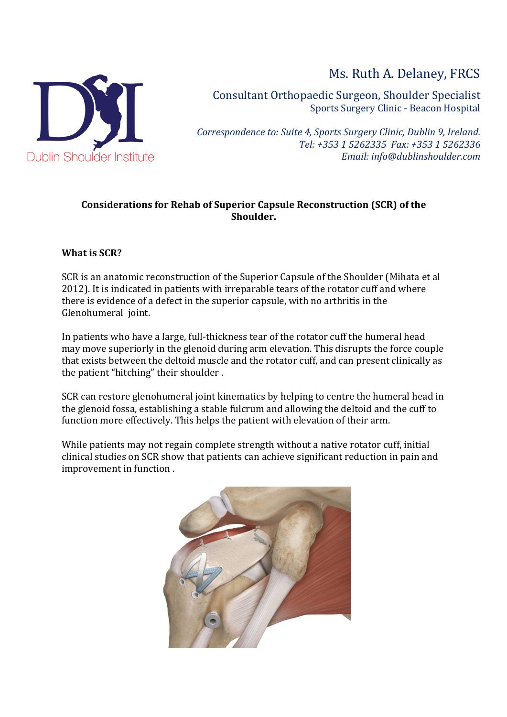

Ms. Ruth A. Delaney, FRCS

Consultant Orthopaedic Surgeon, Shoulder Specialist Sports Surgery Clinic - Beacon Hospital

*Correspondence to: Suite 4, Sports Surgery Clinic, Dublin 9, Ireland. Tel: +353 1 5262335 Fax: +353 1 5262336 Email: info@dublinshoulder.com*

# **Considerations for Rehab of Superior Capsule Reconstruction (SCR) of the Shoulder.**

### **What is SCR?**

SCR is an anatomic reconstruction of the Superior Capsule of the Shoulder (Mihata et al 2012). It is indicated in patients with irreparable tears of the rotator cuff and where there is evidence of a defect in the superior capsule, with no arthritis in the Glenohumeral ioint.

In patients who have a large, full-thickness tear of the rotator cuff the humeral head may move superiorly in the glenoid during arm elevation. This disrupts the force couple that exists between the deltoid muscle and the rotator cuff, and can present clinically as the patient "hitching" their shoulder.

SCR can restore glenohumeral joint kinematics by helping to centre the humeral head in the glenoid fossa, establishing a stable fulcrum and allowing the deltoid and the cuff to function more effectively. This helps the patient with elevation of their arm.

While patients may not regain complete strength without a native rotator cuff, initial clinical studies on SCR show that patients can achieve significant reduction in pain and improvement in function.

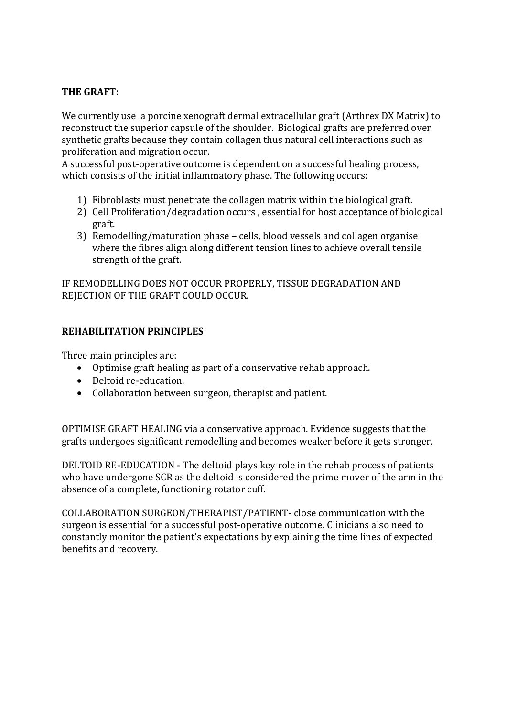## **THE GRAFT:**

We currently use a porcine xenograft dermal extracellular graft (Arthrex DX Matrix) to reconstruct the superior capsule of the shoulder. Biological grafts are preferred over synthetic grafts because they contain collagen thus natural cell interactions such as proliferation and migration occur.

A successful post-operative outcome is dependent on a successful healing process, which consists of the initial inflammatory phase. The following occurs:

- 1) Fibroblasts must penetrate the collagen matrix within the biological graft.
- 2) Cell Proliferation/degradation occurs, essential for host acceptance of biological graft.
- 3) Remodelling/maturation phase cells, blood vessels and collagen organise where the fibres align along different tension lines to achieve overall tensile strength of the graft.

IF REMODELLING DOES NOT OCCUR PROPERLY, TISSUE DEGRADATION AND REJECTION OF THE GRAFT COULD OCCUR.

#### **REHABILITATION PRINCIPLES**

Three main principles are:

- Optimise graft healing as part of a conservative rehab approach.
- Deltoid re-education.
- Collaboration between surgeon, therapist and patient.

OPTIMISE GRAFT HEALING via a conservative approach. Evidence suggests that the grafts undergoes significant remodelling and becomes weaker before it gets stronger.

DELTOID RE-EDUCATION - The deltoid plays key role in the rehab process of patients who have undergone SCR as the deltoid is considered the prime mover of the arm in the absence of a complete, functioning rotator cuff.

COLLABORATION SURGEON/THERAPIST/PATIENT- close communication with the surgeon is essential for a successful post-operative outcome. Clinicians also need to constantly monitor the patient's expectations by explaining the time lines of expected benefits and recovery.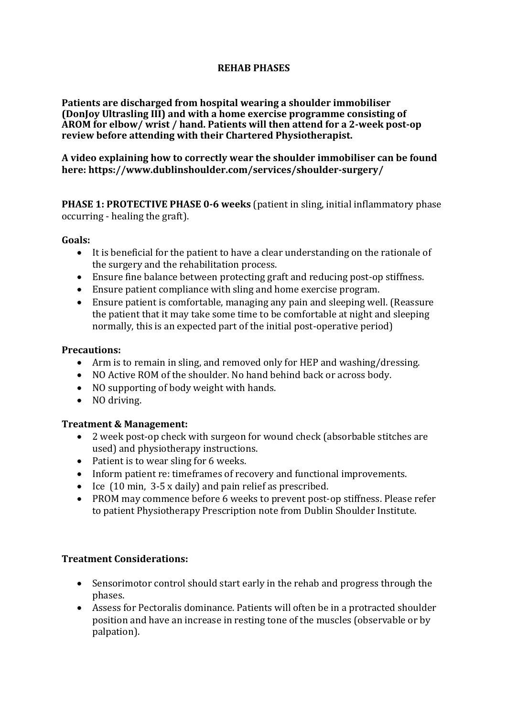### **REHAB PHASES**

**Patients are discharged from hospital wearing a shoulder immobiliser (DonIov Ultrasling III) and with a home exercise programme consisting of** AROM for elbow/ wrist / hand. Patients will then attend for a 2-week post-op review before attending with their Chartered Physiotherapist.

### A video explaining how to correctly wear the shoulder immobiliser can be found **here: https://www.dublinshoulder.com/services/shoulder-surgery/**

**PHASE 1: PROTECTIVE PHASE 0-6 weeks** (patient in sling, initial inflammatory phase occurring - healing the graft).

#### **Goals:**

- It is beneficial for the patient to have a clear understanding on the rationale of the surgery and the rehabilitation process.
- Ensure fine balance between protecting graft and reducing post-op stiffness.
- Ensure patient compliance with sling and home exercise program.
- Ensure patient is comfortable, managing any pain and sleeping well. (Reassure the patient that it may take some time to be comfortable at night and sleeping normally, this is an expected part of the initial post-operative period)

#### **Precautions:**

- Arm is to remain in sling, and removed only for HEP and washing/dressing.
- NO Active ROM of the shoulder. No hand behind back or across body.
- NO supporting of body weight with hands.
- NO driving.

### **Treatment & Management:**

- 2 week post-op check with surgeon for wound check (absorbable stitches are used) and physiotherapy instructions.
- Patient is to wear sling for 6 weeks.
- Inform patient re: timeframes of recovery and functional improvements.
- Ice  $(10 \text{ min}, 3.5 \text{ x daily})$  and pain relief as prescribed.
- PROM may commence before 6 weeks to prevent post-op stiffness. Please refer to patient Physiotherapy Prescription note from Dublin Shoulder Institute.

### **Treatment Considerations:**

- Sensorimotor control should start early in the rehab and progress through the phases.
- Assess for Pectoralis dominance. Patients will often be in a protracted shoulder position and have an increase in resting tone of the muscles (observable or by palpation).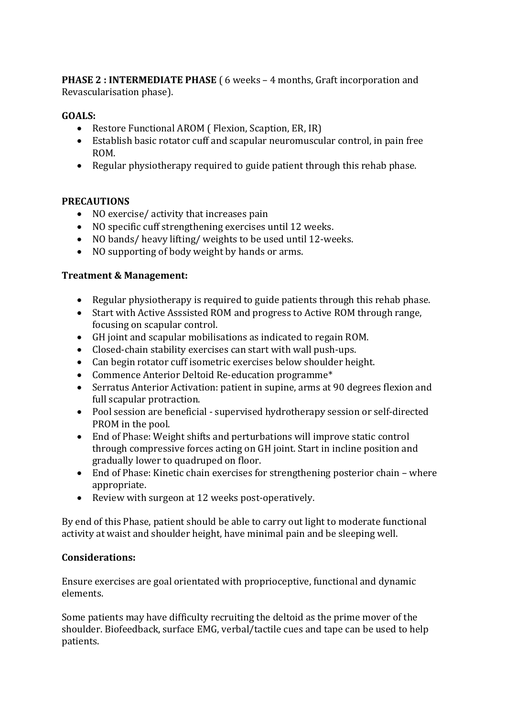**PHASE 2: INTERMEDIATE PHASE** ( $\cdot$  6 weeks – 4 months, Graft incorporation and Revascularisation phase).

# **GOALS:**

- Restore Functional AROM ( Flexion, Scaption, ER, IR)
- Establish basic rotator cuff and scapular neuromuscular control, in pain free ROM.
- Regular physiotherapy required to guide patient through this rehab phase.

# **PRECAUTIONS**

- NO exercise/ activity that increases pain
- NO specific cuff strengthening exercises until 12 weeks.
- NO bands/ heavy lifting/ weights to be used until 12-weeks.
- NO supporting of body weight by hands or arms.

### **Treatment & Management:**

- Regular physiotherapy is required to guide patients through this rehab phase.
- Start with Active Asssisted ROM and progress to Active ROM through range, focusing on scapular control.
- GH joint and scapular mobilisations as indicated to regain ROM.
- Closed-chain stability exercises can start with wall push-ups.
- Can begin rotator cuff isometric exercises below shoulder height.
- Commence Anterior Deltoid Re-education programme\*
- Serratus Anterior Activation: patient in supine, arms at 90 degrees flexion and full scapular protraction.
- Pool session are beneficial supervised hydrotherapy session or self-directed PROM in the pool.
- End of Phase: Weight shifts and perturbations will improve static control through compressive forces acting on GH joint. Start in incline position and gradually lower to quadruped on floor.
- End of Phase: Kinetic chain exercises for strengthening posterior chain where appropriate.
- Review with surgeon at 12 weeks post-operatively.

By end of this Phase, patient should be able to carry out light to moderate functional activity at waist and shoulder height, have minimal pain and be sleeping well.

# **Considerations:**

Ensure exercises are goal orientated with proprioceptive, functional and dynamic elements.

Some patients may have difficulty recruiting the deltoid as the prime mover of the shoulder. Biofeedback, surface EMG, verbal/tactile cues and tape can be used to help patients.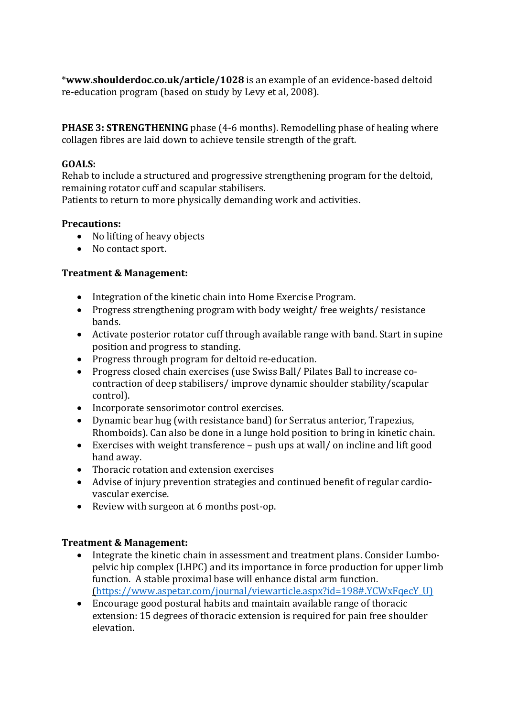\*www.shoulderdoc.co.uk/article/1028 is an example of an evidence-based deltoid re-education program (based on study by Levy et al, 2008).

**PHASE 3: STRENGTHENING** phase (4-6 months). Remodelling phase of healing where collagen fibres are laid down to achieve tensile strength of the graft.

### **GOALS:**

Rehab to include a structured and progressive strengthening program for the deltoid, remaining rotator cuff and scapular stabilisers.

Patients to return to more physically demanding work and activities.

### **Precautions:**

- No lifting of heavy objects
- No contact sport.

### **Treatment & Management:**

- Integration of the kinetic chain into Home Exercise Program.
- Progress strengthening program with body weight/ free weights/ resistance bands.
- Activate posterior rotator cuff through available range with band. Start in supine position and progress to standing.
- Progress through program for deltoid re-education.
- Progress closed chain exercises (use Swiss Ball/ Pilates Ball to increase cocontraction of deep stabilisers/ improve dynamic shoulder stability/scapular control).
- Incorporate sensorimotor control exercises.
- Dynamic bear hug (with resistance band) for Serratus anterior, Trapezius, Rhomboids). Can also be done in a lunge hold position to bring in kinetic chain.
- Exercises with weight transference  $-$  push ups at wall/ on incline and lift good hand away.
- Thoracic rotation and extension exercises
- Advise of injury prevention strategies and continued benefit of regular cardiovascular exercise.
- Review with surgeon at 6 months post-op.

### **Treatment & Management:**

- Integrate the kinetic chain in assessment and treatment plans. Consider Lumbopelvic hip complex (LHPC) and its importance in force production for upper limb function. A stable proximal base will enhance distal arm function. (https://www.aspetar.com/journal/viewarticle.aspx?id=198#.YCWxFqecY\_U)
- Encourage good postural habits and maintain available range of thoracic extension: 15 degrees of thoracic extension is required for pain free shoulder elevation.